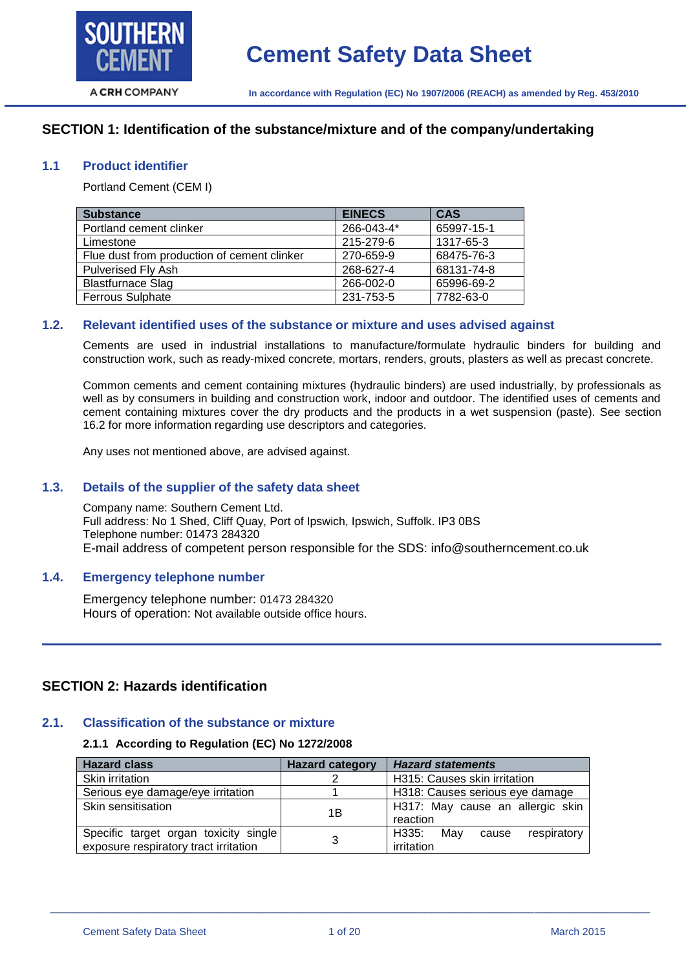

# **SECTION 1: Identification of the substance/mixture and of the company/undertaking**

#### **1.1 Product identifier**

Portland Cement (CEM I)

| <b>Substance</b>                            | <b>EINECS</b> | <b>CAS</b> |
|---------------------------------------------|---------------|------------|
| Portland cement clinker                     | 266-043-4*    | 65997-15-1 |
| Limestone                                   | 215-279-6     | 1317-65-3  |
| Flue dust from production of cement clinker | 270-659-9     | 68475-76-3 |
| <b>Pulverised Fly Ash</b>                   | 268-627-4     | 68131-74-8 |
| <b>Blastfurnace Slag</b>                    | 266-002-0     | 65996-69-2 |
| <b>Ferrous Sulphate</b>                     | 231-753-5     | 7782-63-0  |

#### **1.2. Relevant identified uses of the substance or mixture and uses advised against**

Cements are used in industrial installations to manufacture/formulate hydraulic binders for building and construction work, such as ready-mixed concrete, mortars, renders, grouts, plasters as well as precast concrete.

Common cements and cement containing mixtures (hydraulic binders) are used industrially, by professionals as well as by consumers in building and construction work, indoor and outdoor. The identified uses of cements and cement containing mixtures cover the dry products and the products in a wet suspension (paste). See section 16.2 for more information regarding use descriptors and categories.

Any uses not mentioned above, are advised against.

#### **1.3. Details of the supplier of the safety data sheet**

Company name: Southern Cement Ltd. Full address: No 1 Shed, Cliff Quay, Port of Ipswich, Ipswich, Suffolk. IP3 0BS Telephone number: 01473 284320 E-mail address of competent person responsible for the SDS: info@southerncement.co.uk

# **1.4. Emergency telephone number**

Emergency telephone number: 01473 284320 Hours of operation: Not available outside office hours.

# **SECTION 2: Hazards identification**

#### **2.1. Classification of the substance or mixture**

#### **2.1.1 According to Regulation (EC) No 1272/2008**

| <b>Hazard class</b>                   | <b>Hazard category</b> | <b>Hazard statements</b>             |
|---------------------------------------|------------------------|--------------------------------------|
| Skin irritation                       |                        | H315: Causes skin irritation         |
| Serious eye damage/eye irritation     |                        | H318: Causes serious eye damage      |
| Skin sensitisation                    | 1Β                     | H317: May cause an allergic skin     |
|                                       |                        | reaction                             |
| Specific target organ toxicity single |                        | respiratory<br>H335:<br>Mav<br>cause |
| exposure respiratory tract irritation |                        | irritation                           |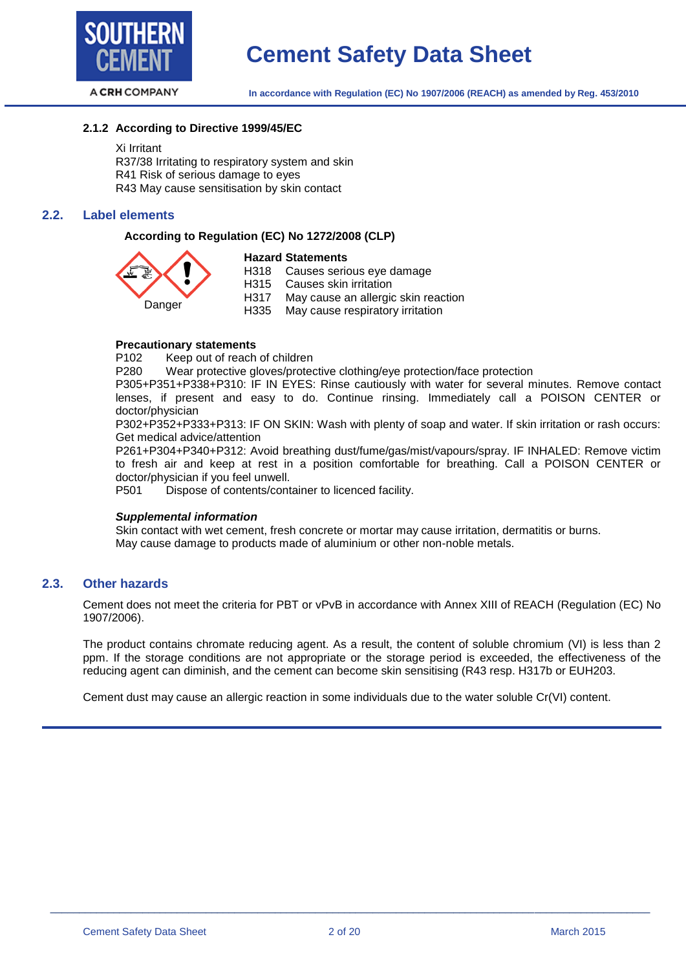

#### **2.1.2 According to Directive 1999/45/EC**

Xi Irritant

R37/38 Irritating to respiratory system and skin R41 Risk of serious damage to eyes R43 May cause sensitisation by skin contact

#### **2.2. Label elements**

#### **According to Regulation (EC) No 1272/2008 (CLP)**

# Danger

**Hazard Statements** H318 Causes serious eye damage H315 Causes skin irritation H317 May cause an allergic skin reaction H335 May cause respiratory irritation

**Precautionary statements**

P102 Keep out of reach of children

P280 Wear protective gloves/protective clothing/eye protection/face protection

P305+P351+P338+P310: IF IN EYES: Rinse cautiously with water for several minutes. Remove contact lenses, if present and easy to do. Continue rinsing. Immediately call a POISON CENTER or doctor/physician

P302+P352+P333+P313: IF ON SKIN: Wash with plenty of soap and water. If skin irritation or rash occurs: Get medical advice/attention

P261+P304+P340+P312: Avoid breathing dust/fume/gas/mist/vapours/spray. IF INHALED: Remove victim to fresh air and keep at rest in a position comfortable for breathing. Call a POISON CENTER or doctor/physician if you feel unwell.

P501 Dispose of contents/container to licenced facility.

#### *Supplemental information*

Skin contact with wet cement, fresh concrete or mortar may cause irritation, dermatitis or burns. May cause damage to products made of aluminium or other non-noble metals.

#### **2.3. Other hazards**

Cement does not meet the criteria for PBT or vPvB in accordance with Annex XIII of REACH (Regulation (EC) No 1907/2006).

The product contains chromate reducing agent. As a result, the content of soluble chromium (VI) is less than 2 ppm. If the storage conditions are not appropriate or the storage period is exceeded, the effectiveness of the reducing agent can diminish, and the cement can become skin sensitising (R43 resp. H317b or EUH203.

Cement dust may cause an allergic reaction in some individuals due to the water soluble Cr(VI) content.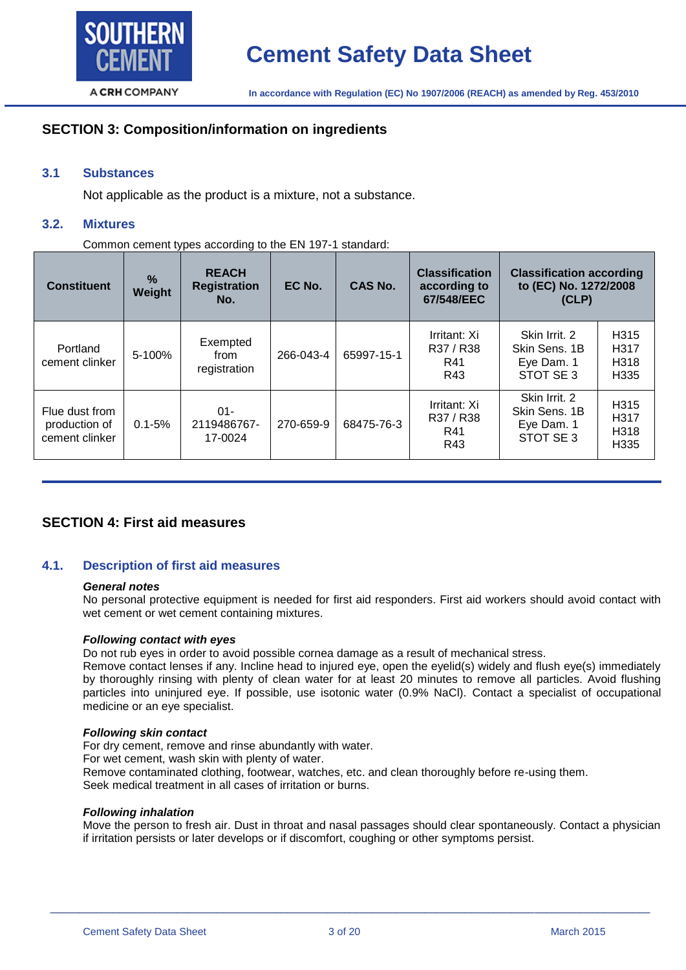

# **SECTION 3: Composition/information on ingredients**

# **3.1 Substances**

Not applicable as the product is a mixture, not a substance.

#### **3.2. Mixtures**

Common cement types according to the EN 197-1 standard:

| <b>Constituent</b>                                | $\frac{9}{6}$<br>Weight | <b>REACH</b><br><b>Registration</b><br>No. | EC No.    | CAS No.    | <b>Classification</b><br>according to<br>67/548/EEC | <b>Classification according</b><br>to (EC) No. 1272/2008<br>(CLP) |                                                                              |
|---------------------------------------------------|-------------------------|--------------------------------------------|-----------|------------|-----------------------------------------------------|-------------------------------------------------------------------|------------------------------------------------------------------------------|
| Portland<br>cement clinker                        | $5 - 100%$              | Exempted<br>from<br>registration           | 266-043-4 | 65997-15-1 | Irritant: Xi<br>R37 / R38<br>R41<br>R43             | Skin Irrit. 2<br>Skin Sens, 1B<br>Eye Dam. 1<br>STOT SE 3         | H <sub>315</sub><br>H <sub>317</sub><br>H <sub>318</sub><br>H <sub>335</sub> |
| Flue dust from<br>production of<br>cement clinker | $0.1 - 5%$              | $01 -$<br>2119486767-<br>17-0024           | 270-659-9 | 68475-76-3 | Irritant: Xi<br>R37 / R38<br>R41<br>R43             | Skin Irrit. 2<br>Skin Sens, 1B<br>Eye Dam. 1<br>STOT SE 3         | H <sub>315</sub><br>H <sub>317</sub><br>H <sub>318</sub><br>H335             |

# **SECTION 4: First aid measures**

#### **4.1. Description of first aid measures**

#### *General notes*

No personal protective equipment is needed for first aid responders. First aid workers should avoid contact with wet cement or wet cement containing mixtures.

#### *Following contact with eyes*

Do not rub eyes in order to avoid possible cornea damage as a result of mechanical stress.

Remove contact lenses if any. Incline head to injured eye, open the eyelid(s) widely and flush eye(s) immediately by thoroughly rinsing with plenty of clean water for at least 20 minutes to remove all particles. Avoid flushing particles into uninjured eye. If possible, use isotonic water (0.9% NaCl). Contact a specialist of occupational medicine or an eye specialist.

#### *Following skin contact*

For dry cement, remove and rinse abundantly with water. For wet cement, wash skin with plenty of water. Remove contaminated clothing, footwear, watches, etc. and clean thoroughly before re-using them. Seek medical treatment in all cases of irritation or burns.

#### *Following inhalation*

Move the person to fresh air. Dust in throat and nasal passages should clear spontaneously. Contact a physician if irritation persists or later develops or if discomfort, coughing or other symptoms persist.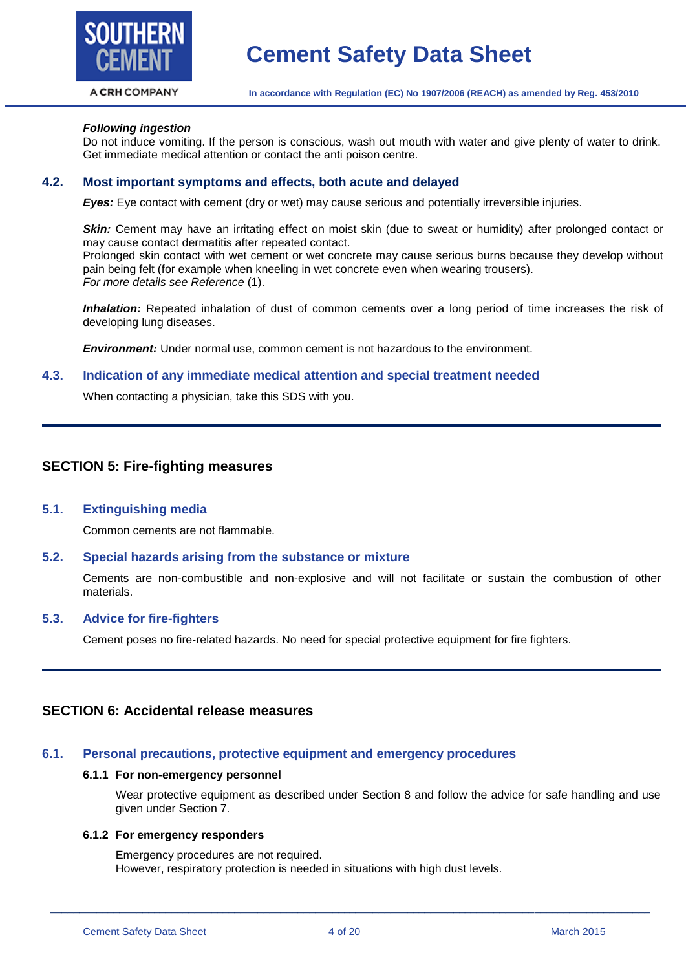

# **Cement Safety Data Sheet**

**In accordance with Regulation (EC) No 1907/2006 (REACH) as amended by Reg. 453/2010**

#### *Following ingestion*

Do not induce vomiting. If the person is conscious, wash out mouth with water and give plenty of water to drink. Get immediate medical attention or contact the anti poison centre.

#### **4.2. Most important symptoms and effects, both acute and delayed**

*Eyes:* Eye contact with cement (dry or wet) may cause serious and potentially irreversible injuries.

*Skin:* Cement may have an irritating effect on moist skin (due to sweat or humidity) after prolonged contact or may cause contact dermatitis after repeated contact.

Prolonged skin contact with wet cement or wet concrete may cause serious burns because they develop without pain being felt (for example when kneeling in wet concrete even when wearing trousers). *For more details see Reference* (1).

*Inhalation:* Repeated inhalation of dust of common cements over a long period of time increases the risk of developing lung diseases.

*Environment:* Under normal use, common cement is not hazardous to the environment.

#### **4.3. Indication of any immediate medical attention and special treatment needed**

When contacting a physician, take this SDS with you.

## **SECTION 5: Fire-fighting measures**

#### **5.1. Extinguishing media**

Common cements are not flammable.

#### **5.2. Special hazards arising from the substance or mixture**

Cements are non-combustible and non-explosive and will not facilitate or sustain the combustion of other materials.

#### **5.3. Advice for fire-fighters**

Cement poses no fire-related hazards. No need for special protective equipment for fire fighters.

# **SECTION 6: Accidental release measures**

#### **6.1. Personal precautions, protective equipment and emergency procedures**

#### **6.1.1 For non-emergency personnel**

Wear protective equipment as described under Section 8 and follow the advice for safe handling and use given under Section 7.

#### **6.1.2 For emergency responders**

Emergency procedures are not required. However, respiratory protection is needed in situations with high dust levels.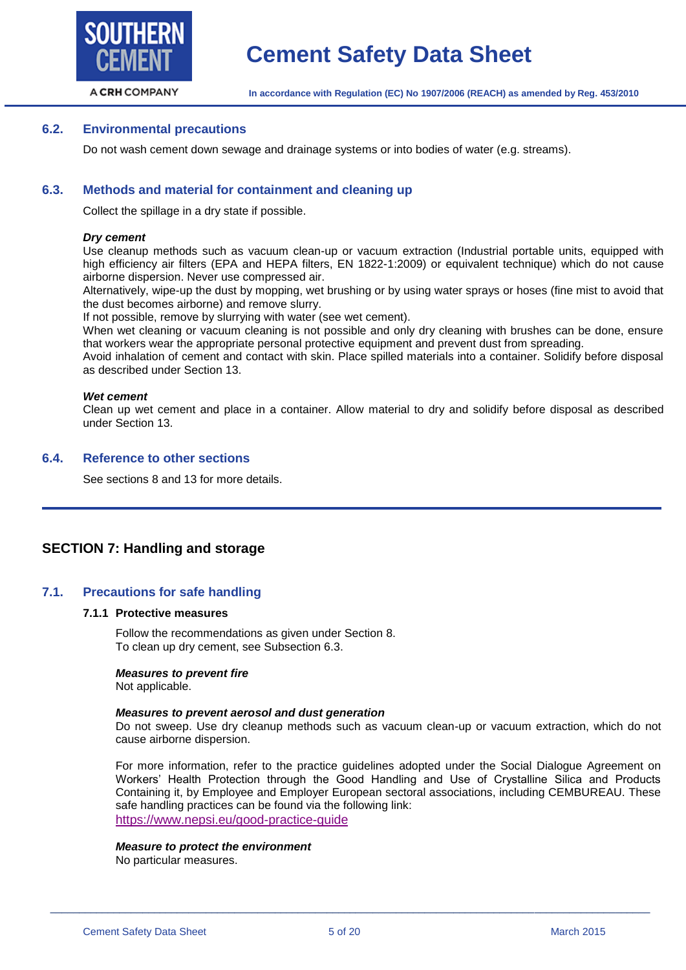

#### **6.2. Environmental precautions**

Do not wash cement down sewage and drainage systems or into bodies of water (e.g. streams).

#### **6.3. Methods and material for containment and cleaning up**

Collect the spillage in a dry state if possible.

#### *Dry cement*

Use cleanup methods such as vacuum clean-up or vacuum extraction (Industrial portable units, equipped with high efficiency air filters (EPA and HEPA filters, EN 1822-1:2009) or equivalent technique) which do not cause airborne dispersion. Never use compressed air.

Alternatively, wipe-up the dust by mopping, wet brushing or by using water sprays or hoses (fine mist to avoid that the dust becomes airborne) and remove slurry.

If not possible, remove by slurrying with water (see wet cement).

When wet cleaning or vacuum cleaning is not possible and only dry cleaning with brushes can be done, ensure that workers wear the appropriate personal protective equipment and prevent dust from spreading.

Avoid inhalation of cement and contact with skin. Place spilled materials into a container. Solidify before disposal as described under Section 13.

#### *Wet cement*

Clean up wet cement and place in a container. Allow material to dry and solidify before disposal as described under Section 13.

#### **6.4. Reference to other sections**

See sections 8 and 13 for more details.

# **SECTION 7: Handling and storage**

#### **7.1. Precautions for safe handling**

#### **7.1.1 Protective measures**

Follow the recommendations as given under Section 8. To clean up dry cement, see Subsection 6.3.

#### *Measures to prevent fire*

Not applicable.

#### *Measures to prevent aerosol and dust generation*

Do not sweep. Use dry cleanup methods such as vacuum clean-up or vacuum extraction, which do not cause airborne dispersion.

For more information, refer to the practice guidelines adopted under the Social Dialogue Agreement on Workers' Health Protection through the Good Handling and Use of Crystalline Silica and Products Containing it, by Employee and Employer European sectoral associations, including CEMBUREAU. These safe handling practices can be found via the following link: <https://www.nepsi.eu/good-practice-guide>

#### *Measure to protect the environment*

No particular measures.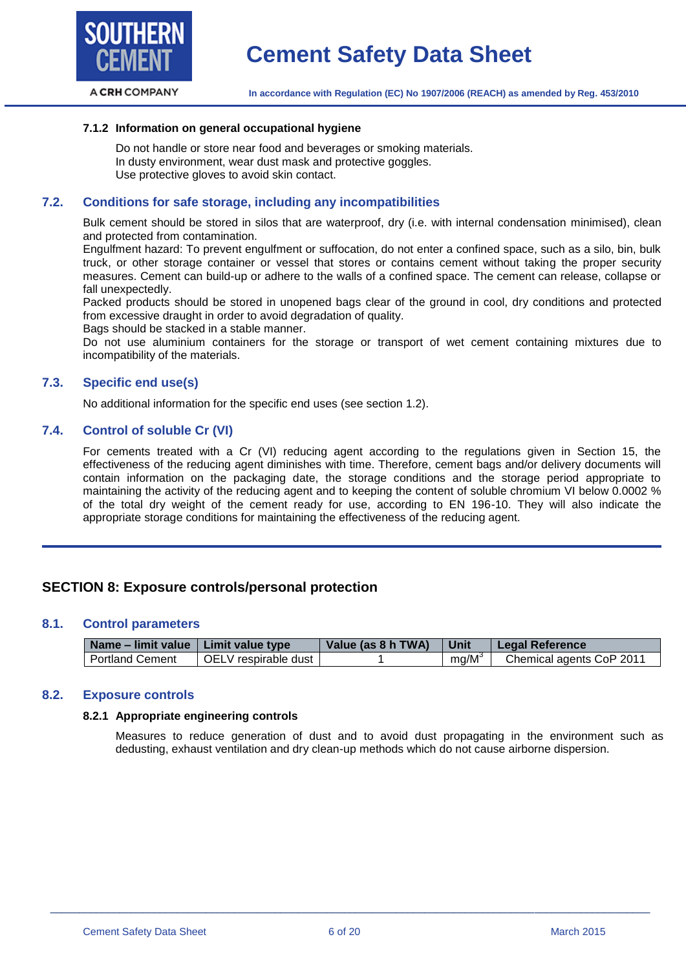

#### **7.1.2 Information on general occupational hygiene**

Do not handle or store near food and beverages or smoking materials. In dusty environment, wear dust mask and protective goggles. Use protective gloves to avoid skin contact.

#### **7.2. Conditions for safe storage, including any incompatibilities**

Bulk cement should be stored in silos that are waterproof, dry (i.e. with internal condensation minimised), clean and protected from contamination.

Engulfment hazard: To prevent engulfment or suffocation, do not enter a confined space, such as a silo, bin, bulk truck, or other storage container or vessel that stores or contains cement without taking the proper security measures. Cement can build-up or adhere to the walls of a confined space. The cement can release, collapse or fall unexpectedly.

Packed products should be stored in unopened bags clear of the ground in cool, dry conditions and protected from excessive draught in order to avoid degradation of quality.

Bags should be stacked in a stable manner.

Do not use aluminium containers for the storage or transport of wet cement containing mixtures due to incompatibility of the materials.

#### **7.3. Specific end use(s)**

No additional information for the specific end uses (see section 1.2).

#### **7.4. Control of soluble Cr (VI)**

For cements treated with a Cr (VI) reducing agent according to the regulations given in Section 15, the effectiveness of the reducing agent diminishes with time. Therefore, cement bags and/or delivery documents will contain information on the packaging date, the storage conditions and the storage period appropriate to maintaining the activity of the reducing agent and to keeping the content of soluble chromium VI below 0.0002 % of the total dry weight of the cement ready for use, according to EN 196-10. They will also indicate the appropriate storage conditions for maintaining the effectiveness of the reducing agent.

# **SECTION 8: Exposure controls/personal protection**

#### **8.1. Control parameters**

| Name – limit value   Limit value type |                      | Value (as 8 h TWA) | Unit     | Legal Reference          |
|---------------------------------------|----------------------|--------------------|----------|--------------------------|
| <b>Portland Cement</b>                | OELV respirable dust |                    | $mq/M^3$ | Chemical agents CoP 2011 |

#### **8.2. Exposure controls**

#### **8.2.1 Appropriate engineering controls**

Measures to reduce generation of dust and to avoid dust propagating in the environment such as dedusting, exhaust ventilation and dry clean-up methods which do not cause airborne dispersion.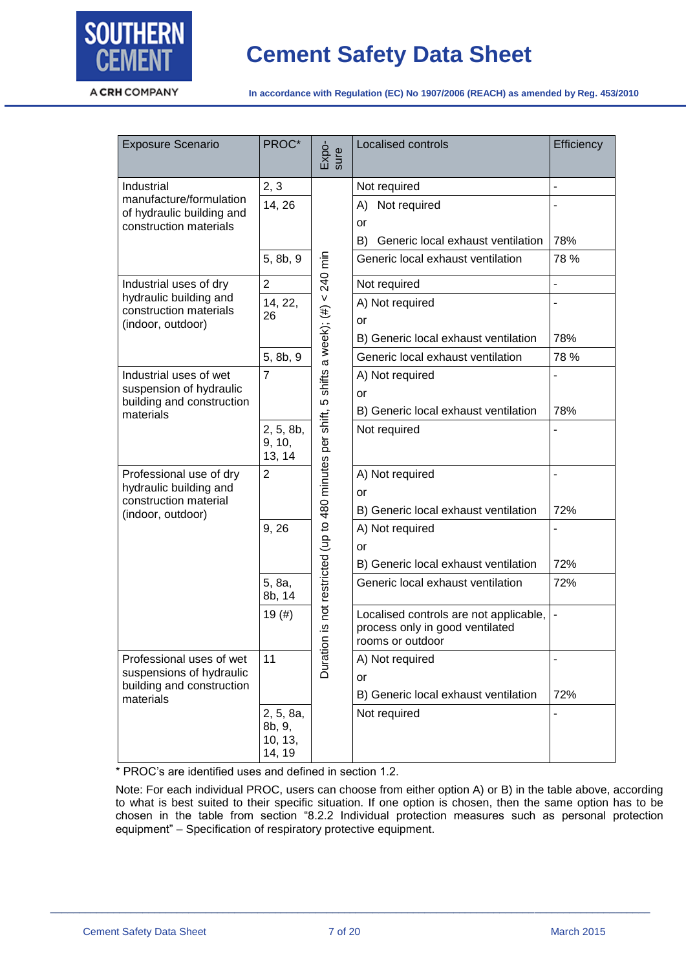

**In accordance with Regulation (EC) No 1907/2006 (REACH) as amended by Reg. 453/2010**

| <b>Exposure Scenario</b>                             | PROC*                                    | Expo-<br>sure                                                                            | Localised controls                                                                            | Efficiency                   |
|------------------------------------------------------|------------------------------------------|------------------------------------------------------------------------------------------|-----------------------------------------------------------------------------------------------|------------------------------|
| Industrial                                           | 2, 3                                     |                                                                                          | Not required                                                                                  | ÷,                           |
| manufacture/formulation<br>of hydraulic building and | 14, 26                                   |                                                                                          | Not required<br>A)                                                                            |                              |
| construction materials                               |                                          |                                                                                          | or                                                                                            |                              |
|                                                      |                                          |                                                                                          | B)<br>Generic local exhaust ventilation                                                       | 78%                          |
|                                                      | 5, 8b, 9                                 |                                                                                          | Generic local exhaust ventilation                                                             | 78 %                         |
| Industrial uses of dry                               | $\overline{2}$                           |                                                                                          | Not required                                                                                  | $\overline{a}$               |
| hydraulic building and<br>construction materials     | 14, 22,                                  |                                                                                          | A) Not required                                                                               |                              |
| (indoor, outdoor)                                    | 26                                       |                                                                                          | or                                                                                            |                              |
|                                                      |                                          |                                                                                          | B) Generic local exhaust ventilation                                                          | 78%                          |
|                                                      | 5, 8b, 9                                 |                                                                                          | Generic local exhaust ventilation                                                             | 78 %                         |
| Industrial uses of wet                               | $\overline{7}$                           |                                                                                          | A) Not required                                                                               | $\overline{a}$               |
| suspension of hydraulic<br>building and construction |                                          |                                                                                          | or                                                                                            |                              |
| materials                                            |                                          |                                                                                          | B) Generic local exhaust ventilation                                                          | 78%                          |
|                                                      | 2, 5, 8b,<br>9, 10,<br>13, 14            |                                                                                          | Not required                                                                                  |                              |
| Professional use of dry                              | $\overline{2}$                           |                                                                                          | A) Not required                                                                               |                              |
| hydraulic building and<br>construction material      |                                          |                                                                                          | or                                                                                            |                              |
| (indoor, outdoor)                                    |                                          |                                                                                          | B) Generic local exhaust ventilation                                                          | 72%                          |
|                                                      | 9, 26                                    |                                                                                          | A) Not required                                                                               |                              |
|                                                      |                                          |                                                                                          | or                                                                                            |                              |
|                                                      |                                          |                                                                                          | B) Generic local exhaust ventilation                                                          | 72%                          |
|                                                      | 5, 8a,<br>8b, 14                         |                                                                                          | Generic local exhaust ventilation                                                             | 72%                          |
|                                                      | 19(#)                                    | Duration is not restricted (up to 480 minutes per shift, 5 shifts a week); (#) < 240 min | Localised controls are not applicable,<br>process only in good ventilated<br>rooms or outdoor | $\blacksquare$               |
| Professional uses of wet                             | 11                                       |                                                                                          | A) Not required                                                                               | $\qquad \qquad \blacksquare$ |
| suspensions of hydraulic                             |                                          |                                                                                          | or                                                                                            |                              |
| building and construction<br>materials               |                                          |                                                                                          | B) Generic local exhaust ventilation                                                          | 72%                          |
|                                                      | 2, 5, 8a,<br>8b, 9,<br>10, 13,<br>14, 19 |                                                                                          | Not required                                                                                  |                              |

\* PROC's are identified uses and defined in section 1.2.

Note: For each individual PROC, users can choose from either option A) or B) in the table above, according to what is best suited to their specific situation. If one option is chosen, then the same option has to be chosen in the table from section "8.2.2 Individual protection measures such as personal protection equipment" – Specification of respiratory protective equipment.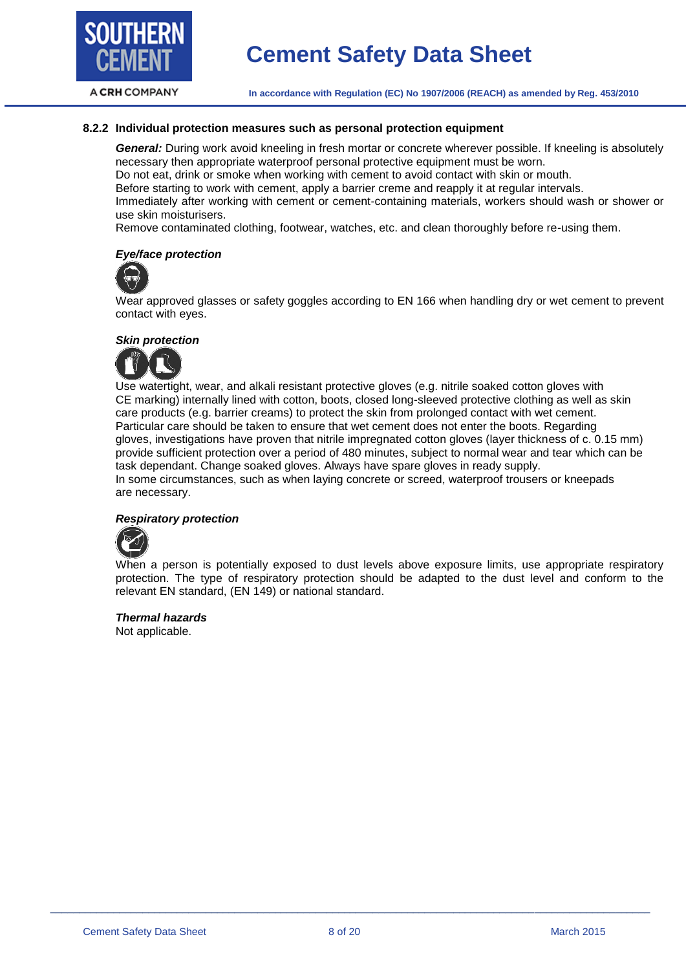

#### **8.2.2 Individual protection measures such as personal protection equipment**

*General:* During work avoid kneeling in fresh mortar or concrete wherever possible. If kneeling is absolutely necessary then appropriate waterproof personal protective equipment must be worn. Do not eat, drink or smoke when working with cement to avoid contact with skin or mouth. Before starting to work with cement, apply a barrier creme and reapply it at regular intervals. Immediately after working with cement or cement-containing materials, workers should wash or shower or use skin moisturisers.

Remove contaminated clothing, footwear, watches, etc. and clean thoroughly before re-using them.

#### *Eye/face protection*



Wear approved glasses or safety goggles according to EN 166 when handling dry or wet cement to prevent contact with eyes.

#### *Skin protection*



Use watertight, wear, and alkali resistant protective gloves (e.g. nitrile soaked cotton gloves with CE marking) internally lined with cotton, boots, closed long-sleeved protective clothing as well as skin care products (e.g. barrier creams) to protect the skin from prolonged contact with wet cement. Particular care should be taken to ensure that wet cement does not enter the boots. Regarding gloves, investigations have proven that nitrile impregnated cotton gloves (layer thickness of c. 0.15 mm) provide sufficient protection over a period of 480 minutes, subject to normal wear and tear which can be task dependant. Change soaked gloves. Always have spare gloves in ready supply. In some circumstances, such as when laying concrete or screed, waterproof trousers or kneepads are necessary.

#### *Respiratory protection*



When a person is potentially exposed to dust levels above exposure limits, use appropriate respiratory protection. The type of respiratory protection should be adapted to the dust level and conform to the relevant EN standard, (EN 149) or national standard.

#### *Thermal hazards*

Not applicable.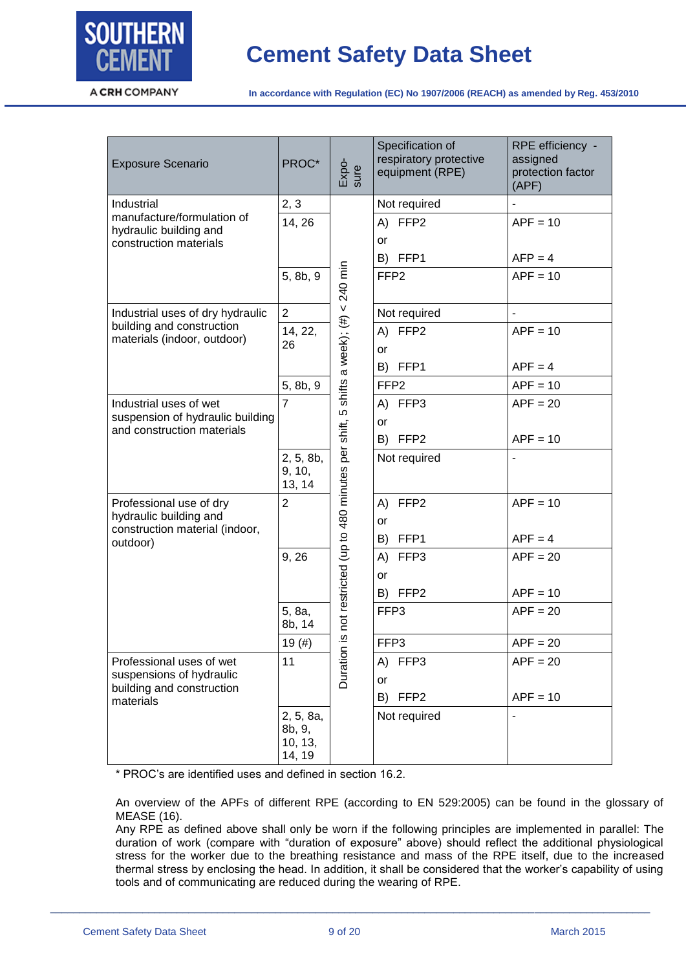

| <b>Exposure Scenario</b>                             | PROC*                                    | Expo-<br>sure                                                                      | Specification of<br>respiratory protective<br>equipment (RPE) | RPE efficiency -<br>assigned<br>protection factor<br>(APF) |
|------------------------------------------------------|------------------------------------------|------------------------------------------------------------------------------------|---------------------------------------------------------------|------------------------------------------------------------|
| Industrial                                           | 2, 3                                     |                                                                                    | Not required                                                  |                                                            |
| manufacture/formulation of<br>hydraulic building and | 14, 26                                   |                                                                                    | A) FFP2                                                       | $APF = 10$                                                 |
| construction materials                               |                                          |                                                                                    | or                                                            |                                                            |
|                                                      |                                          |                                                                                    | B) FFP1                                                       | $AFP = 4$                                                  |
|                                                      | 5, 8b, 9                                 |                                                                                    | FFP <sub>2</sub>                                              | $APF = 10$                                                 |
| Industrial uses of dry hydraulic                     | $\overline{2}$                           |                                                                                    | Not required                                                  | $\overline{a}$                                             |
| building and construction                            | 14, 22,                                  |                                                                                    | FFP <sub>2</sub><br>A)                                        | $APF = 10$                                                 |
| materials (indoor, outdoor)                          | 26                                       |                                                                                    | or                                                            |                                                            |
|                                                      |                                          |                                                                                    | B) FFP1                                                       | $APF = 4$                                                  |
|                                                      | 5, 8b, 9                                 |                                                                                    | FFP <sub>2</sub>                                              | $APF = 10$                                                 |
| Industrial uses of wet                               | $\overline{7}$                           |                                                                                    | A) FFP3                                                       | $APF = 20$                                                 |
| suspension of hydraulic building                     |                                          |                                                                                    | or                                                            |                                                            |
| and construction materials                           |                                          |                                                                                    | B)<br>FFP <sub>2</sub>                                        | $APF = 10$                                                 |
|                                                      | 2, 5, 8b,<br>9, 10,<br>13, 14            | is not restricted (up to 480 minutes per shift, 5 shifts a week); $(\#) < 240$ min | Not required                                                  |                                                            |
| Professional use of dry                              | $\overline{2}$                           |                                                                                    | FFP2<br>A)                                                    | $APF = 10$                                                 |
| hydraulic building and                               |                                          |                                                                                    | or                                                            |                                                            |
| construction material (indoor,<br>outdoor)           |                                          |                                                                                    | FFP1<br>B)                                                    | $APF = 4$                                                  |
|                                                      | 9, 26                                    |                                                                                    | A)<br>FFP3                                                    | $APF = 20$                                                 |
|                                                      |                                          |                                                                                    | or                                                            |                                                            |
|                                                      |                                          |                                                                                    | FFP <sub>2</sub><br>B)                                        | $APF = 10$                                                 |
|                                                      | 5, 8a,<br>8b, 14                         |                                                                                    | FFP3                                                          | $APF = 20$                                                 |
|                                                      | 19(#)                                    |                                                                                    | FFP3                                                          | $APF = 20$                                                 |
| Professional uses of wet                             | 11                                       | Duration                                                                           | FFP3<br>A)                                                    | $APF = 20$                                                 |
| suspensions of hydraulic                             |                                          |                                                                                    | or                                                            |                                                            |
| building and construction<br>materials               |                                          |                                                                                    | FFP <sub>2</sub><br>B)                                        | $APF = 10$                                                 |
|                                                      | 2, 5, 8a,<br>8b, 9,<br>10, 13,<br>14, 19 |                                                                                    | Not required                                                  |                                                            |

\* PROC's are identified uses and defined in section 16.2.

An overview of the APFs of different RPE (according to EN 529:2005) can be found in the glossary of MEASE (16).

Any RPE as defined above shall only be worn if the following principles are implemented in parallel: The duration of work (compare with "duration of exposure" above) should reflect the additional physiological stress for the worker due to the breathing resistance and mass of the RPE itself, due to the increased thermal stress by enclosing the head. In addition, it shall be considered that the worker's capability of using tools and of communicating are reduced during the wearing of RPE.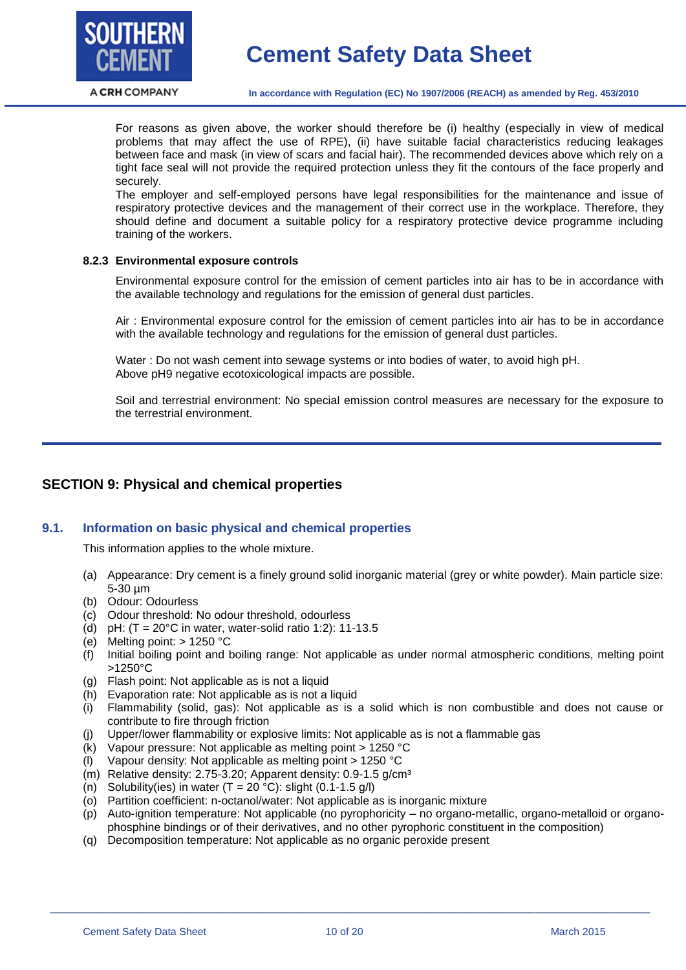

**In accordance with Regulation (EC) No 1907/2006 (REACH) as amended by Reg. 453/2010**

For reasons as given above, the worker should therefore be (i) healthy (especially in view of medical problems that may affect the use of RPE), (ii) have suitable facial characteristics reducing leakages between face and mask (in view of scars and facial hair). The recommended devices above which rely on a tight face seal will not provide the required protection unless they fit the contours of the face properly and securely.

The employer and self-employed persons have legal responsibilities for the maintenance and issue of respiratory protective devices and the management of their correct use in the workplace. Therefore, they should define and document a suitable policy for a respiratory protective device programme including training of the workers.

#### **8.2.3 Environmental exposure controls**

Environmental exposure control for the emission of cement particles into air has to be in accordance with the available technology and regulations for the emission of general dust particles.

Air : Environmental exposure control for the emission of cement particles into air has to be in accordance with the available technology and regulations for the emission of general dust particles.

Water : Do not wash cement into sewage systems or into bodies of water, to avoid high pH. Above pH9 negative ecotoxicological impacts are possible.

Soil and terrestrial environment: No special emission control measures are necessary for the exposure to the terrestrial environment.

# **SECTION 9: Physical and chemical properties**

#### **9.1. Information on basic physical and chemical properties**

This information applies to the whole mixture.

- (a) Appearance: Dry cement is a finely ground solid inorganic material (grey or white powder). Main particle size: 5-30 µm
- (b) Odour: Odourless
- (c) Odour threshold: No odour threshold, odourless
- (d) pH:  $(T = 20^{\circ}C$  in water, water-solid ratio 1:2): 11-13.5
- (e) Melting point: > 1250 °C
- (f) Initial boiling point and boiling range: Not applicable as under normal atmospheric conditions, melting point >1250°C
- (g) Flash point: Not applicable as is not a liquid
- (h) Evaporation rate: Not applicable as is not a liquid
- (i) Flammability (solid, gas): Not applicable as is a solid which is non combustible and does not cause or contribute to fire through friction
- (j) Upper/lower flammability or explosive limits: Not applicable as is not a flammable gas
- (k) Vapour pressure: Not applicable as melting point > 1250 °C
- (l) Vapour density: Not applicable as melting point > 1250 °C
- (m) Relative density: 2.75-3.20; Apparent density:  $0.9-1.5$  g/cm<sup>3</sup>
- (n) Solubility(ies) in water  $(T = 20 °C)$ : slight  $(0.1 1.5 g/l)$
- (o) Partition coefficient: n-octanol/water: Not applicable as is inorganic mixture
- (p) Auto-ignition temperature: Not applicable (no pyrophoricity no organo-metallic, organo-metalloid or organophosphine bindings or of their derivatives, and no other pyrophoric constituent in the composition)
- (q) Decomposition temperature: Not applicable as no organic peroxide present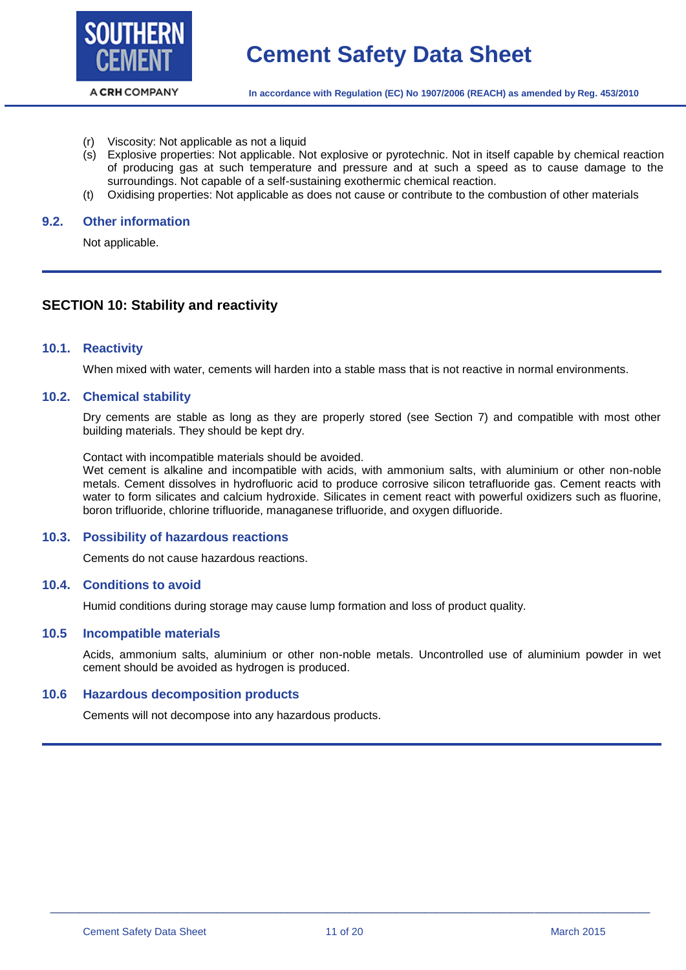

- (r) Viscosity: Not applicable as not a liquid
- (s) Explosive properties: Not applicable. Not explosive or pyrotechnic. Not in itself capable by chemical reaction of producing gas at such temperature and pressure and at such a speed as to cause damage to the surroundings. Not capable of a self-sustaining exothermic chemical reaction.
- (t) Oxidising properties: Not applicable as does not cause or contribute to the combustion of other materials

#### **9.2. Other information**

Not applicable.

## **SECTION 10: Stability and reactivity**

#### **10.1. Reactivity**

When mixed with water, cements will harden into a stable mass that is not reactive in normal environments.

#### **10.2. Chemical stability**

Dry cements are stable as long as they are properly stored (see Section 7) and compatible with most other building materials. They should be kept dry.

Contact with incompatible materials should be avoided.

Wet cement is alkaline and incompatible with acids, with ammonium salts, with aluminium or other non-noble metals. Cement dissolves in hydrofluoric acid to produce corrosive silicon tetrafluoride gas. Cement reacts with water to form silicates and calcium hydroxide. Silicates in cement react with powerful oxidizers such as fluorine, boron trifluoride, chlorine trifluoride, managanese trifluoride, and oxygen difluoride.

#### **10.3. Possibility of hazardous reactions**

Cements do not cause hazardous reactions.

#### **10.4. Conditions to avoid**

Humid conditions during storage may cause lump formation and loss of product quality.

#### **10.5 Incompatible materials**

Acids, ammonium salts, aluminium or other non-noble metals. Uncontrolled use of aluminium powder in wet cement should be avoided as hydrogen is produced.

#### **10.6 Hazardous decomposition products**

Cements will not decompose into any hazardous products.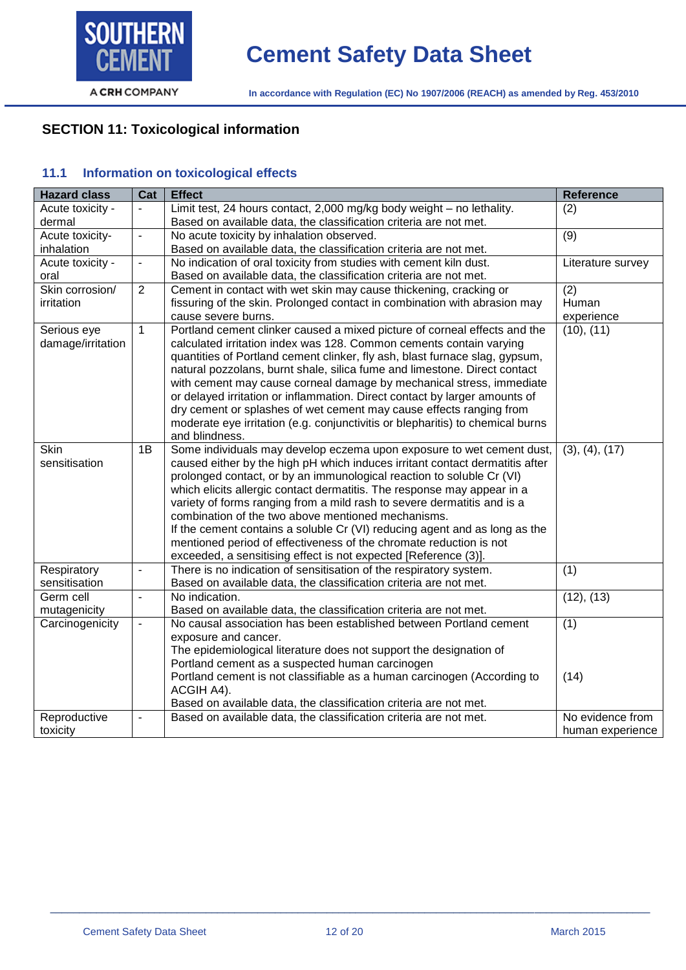

# **SECTION 11: Toxicological information**

# **11.1 Information on toxicological effects**

| <b>Hazard class</b> | Cat            | <b>Effect</b>                                                                         | <b>Reference</b>  |
|---------------------|----------------|---------------------------------------------------------------------------------------|-------------------|
| Acute toxicity -    |                | Limit test, 24 hours contact, 2,000 mg/kg body weight - no lethality.                 | (2)               |
| dermal              |                | Based on available data, the classification criteria are not met.                     |                   |
| Acute toxicity-     | $\mathbf{r}$   | No acute toxicity by inhalation observed.                                             | $\overline{(9)}$  |
| inhalation          |                | Based on available data, the classification criteria are not met.                     |                   |
| Acute toxicity -    | $\blacksquare$ | No indication of oral toxicity from studies with cement kiln dust.                    | Literature survey |
| oral                |                | Based on available data, the classification criteria are not met.                     |                   |
| Skin corrosion/     | $\overline{2}$ | Cement in contact with wet skin may cause thickening, cracking or                     | (2)               |
| irritation          |                | fissuring of the skin. Prolonged contact in combination with abrasion may             | Human             |
|                     |                | cause severe burns.                                                                   | experience        |
| Serious eye         | $\mathbf{1}$   | Portland cement clinker caused a mixed picture of corneal effects and the             | (10), (11)        |
| damage/irritation   |                | calculated irritation index was 128. Common cements contain varying                   |                   |
|                     |                | quantities of Portland cement clinker, fly ash, blast furnace slag, gypsum,           |                   |
|                     |                | natural pozzolans, burnt shale, silica fume and limestone. Direct contact             |                   |
|                     |                | with cement may cause corneal damage by mechanical stress, immediate                  |                   |
|                     |                | or delayed irritation or inflammation. Direct contact by larger amounts of            |                   |
|                     |                | dry cement or splashes of wet cement may cause effects ranging from                   |                   |
|                     |                | moderate eye irritation (e.g. conjunctivitis or blepharitis) to chemical burns        |                   |
|                     |                | and blindness.                                                                        |                   |
| <b>Skin</b>         | 1B             | Some individuals may develop eczema upon exposure to wet cement dust,                 | (3), (4), (17)    |
| sensitisation       |                | caused either by the high pH which induces irritant contact dermatitis after          |                   |
|                     |                | prolonged contact, or by an immunological reaction to soluble Cr (VI)                 |                   |
|                     |                | which elicits allergic contact dermatitis. The response may appear in a               |                   |
|                     |                | variety of forms ranging from a mild rash to severe dermatitis and is a               |                   |
|                     |                | combination of the two above mentioned mechanisms.                                    |                   |
|                     |                | If the cement contains a soluble Cr (VI) reducing agent and as long as the            |                   |
|                     |                | mentioned period of effectiveness of the chromate reduction is not                    |                   |
|                     |                | exceeded, a sensitising effect is not expected [Reference (3)].                       |                   |
| Respiratory         | $\blacksquare$ | There is no indication of sensitisation of the respiratory system.                    | (1)               |
| sensitisation       |                | Based on available data, the classification criteria are not met.                     |                   |
| Germ cell           | $\overline{a}$ | No indication.                                                                        | (12), (13)        |
| mutagenicity        |                | Based on available data, the classification criteria are not met.                     |                   |
| Carcinogenicity     | $\blacksquare$ | No causal association has been established between Portland cement                    | (1)               |
|                     |                | exposure and cancer.                                                                  |                   |
|                     |                | The epidemiological literature does not support the designation of                    |                   |
|                     |                | Portland cement as a suspected human carcinogen                                       |                   |
|                     |                | Portland cement is not classifiable as a human carcinogen (According to<br>ACGIH A4). | (14)              |
|                     |                | Based on available data, the classification criteria are not met.                     |                   |
| Reproductive        |                | Based on available data, the classification criteria are not met.                     | No evidence from  |
| toxicity            |                |                                                                                       | human experience  |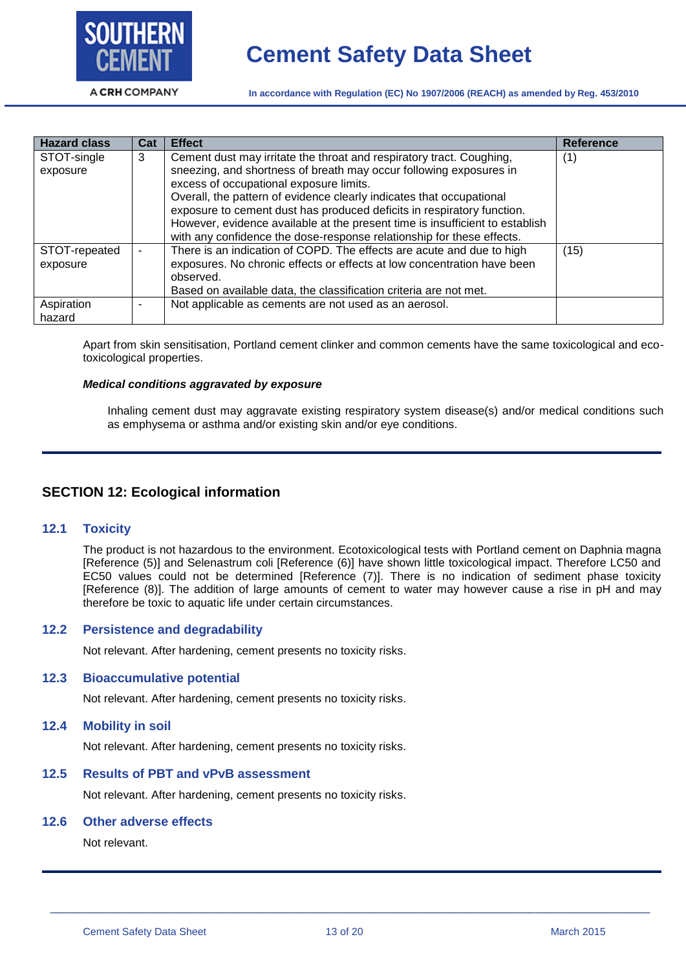

**In accordance with Regulation (EC) No 1907/2006 (REACH) as amended by Reg. 453/2010**

| <b>Hazard class</b>       | Cat | <b>Effect</b>                                                                                                                                                                                                                                                                                                                                                                                                                                                                                    | <b>Reference</b> |
|---------------------------|-----|--------------------------------------------------------------------------------------------------------------------------------------------------------------------------------------------------------------------------------------------------------------------------------------------------------------------------------------------------------------------------------------------------------------------------------------------------------------------------------------------------|------------------|
| STOT-single<br>exposure   | 3   | Cement dust may irritate the throat and respiratory tract. Coughing,<br>sneezing, and shortness of breath may occur following exposures in<br>excess of occupational exposure limits.<br>Overall, the pattern of evidence clearly indicates that occupational<br>exposure to cement dust has produced deficits in respiratory function.<br>However, evidence available at the present time is insufficient to establish<br>with any confidence the dose-response relationship for these effects. | (1)              |
| STOT-repeated<br>exposure |     | There is an indication of COPD. The effects are acute and due to high<br>exposures. No chronic effects or effects at low concentration have been<br>observed.<br>Based on available data, the classification criteria are not met.                                                                                                                                                                                                                                                               | (15)             |
| Aspiration<br>hazard      |     | Not applicable as cements are not used as an aerosol.                                                                                                                                                                                                                                                                                                                                                                                                                                            |                  |

Apart from skin sensitisation, Portland cement clinker and common cements have the same toxicological and ecotoxicological properties.

#### *Medical conditions aggravated by exposure*

Inhaling cement dust may aggravate existing respiratory system disease(s) and/or medical conditions such as emphysema or asthma and/or existing skin and/or eye conditions.

# **SECTION 12: Ecological information**

#### **12.1 Toxicity**

The product is not hazardous to the environment. Ecotoxicological tests with Portland cement on Daphnia magna [Reference (5)] and Selenastrum coli [Reference (6)] have shown little toxicological impact. Therefore LC50 and EC50 values could not be determined [Reference (7)]. There is no indication of sediment phase toxicity [Reference (8)]. The addition of large amounts of cement to water may however cause a rise in pH and may therefore be toxic to aquatic life under certain circumstances.

#### **12.2 Persistence and degradability**

Not relevant. After hardening, cement presents no toxicity risks.

#### **12.3 Bioaccumulative potential**

Not relevant. After hardening, cement presents no toxicity risks.

#### **12.4 Mobility in soil**

Not relevant. After hardening, cement presents no toxicity risks.

#### **12.5 Results of PBT and vPvB assessment**

Not relevant. After hardening, cement presents no toxicity risks.

#### **12.6 Other adverse effects**

Not relevant.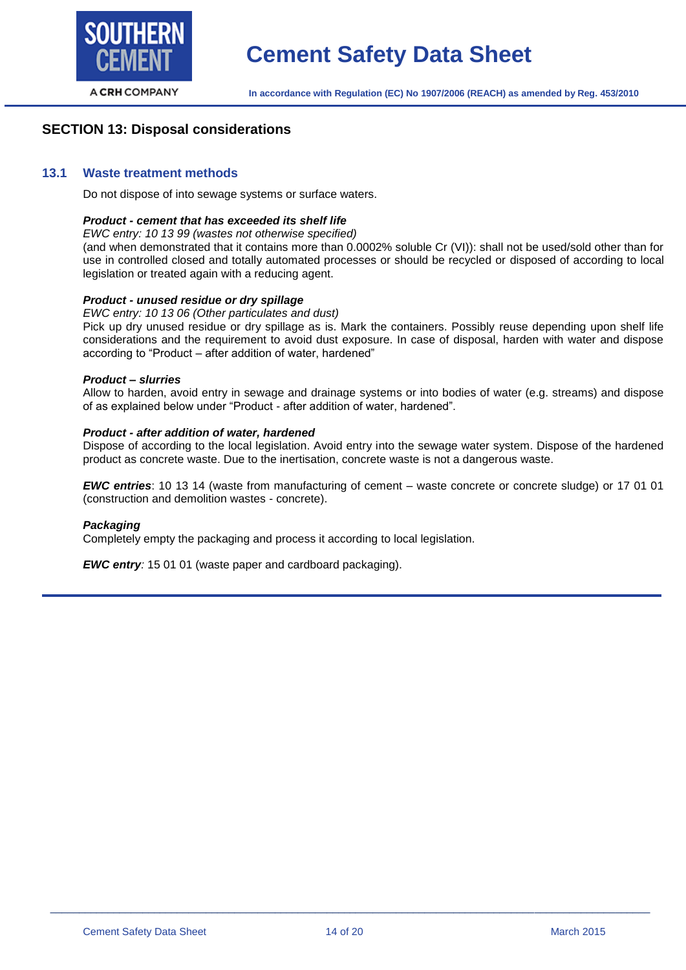

# **SECTION 13: Disposal considerations**

#### **13.1 Waste treatment methods**

Do not dispose of into sewage systems or surface waters.

#### *Product - cement that has exceeded its shelf life*

#### *EWC entry: 10 13 99 (wastes not otherwise specified)*

(and when demonstrated that it contains more than 0.0002% soluble Cr (VI)): shall not be used/sold other than for use in controlled closed and totally automated processes or should be recycled or disposed of according to local legislation or treated again with a reducing agent.

#### *Product - unused residue or dry spillage*

#### *EWC entry: 10 13 06 (Other particulates and dust)*

Pick up dry unused residue or dry spillage as is. Mark the containers. Possibly reuse depending upon shelf life considerations and the requirement to avoid dust exposure. In case of disposal, harden with water and dispose according to "Product – after addition of water, hardened"

#### *Product – slurries*

Allow to harden, avoid entry in sewage and drainage systems or into bodies of water (e.g. streams) and dispose of as explained below under "Product - after addition of water, hardened".

#### *Product - after addition of water, hardened*

Dispose of according to the local legislation. Avoid entry into the sewage water system. Dispose of the hardened product as concrete waste. Due to the inertisation, concrete waste is not a dangerous waste.

*EWC entries*: 10 13 14 (waste from manufacturing of cement – waste concrete or concrete sludge) or 17 01 01 (construction and demolition wastes - concrete).

#### *Packaging*

Completely empty the packaging and process it according to local legislation.

*EWC entry:* 15 01 01 (waste paper and cardboard packaging).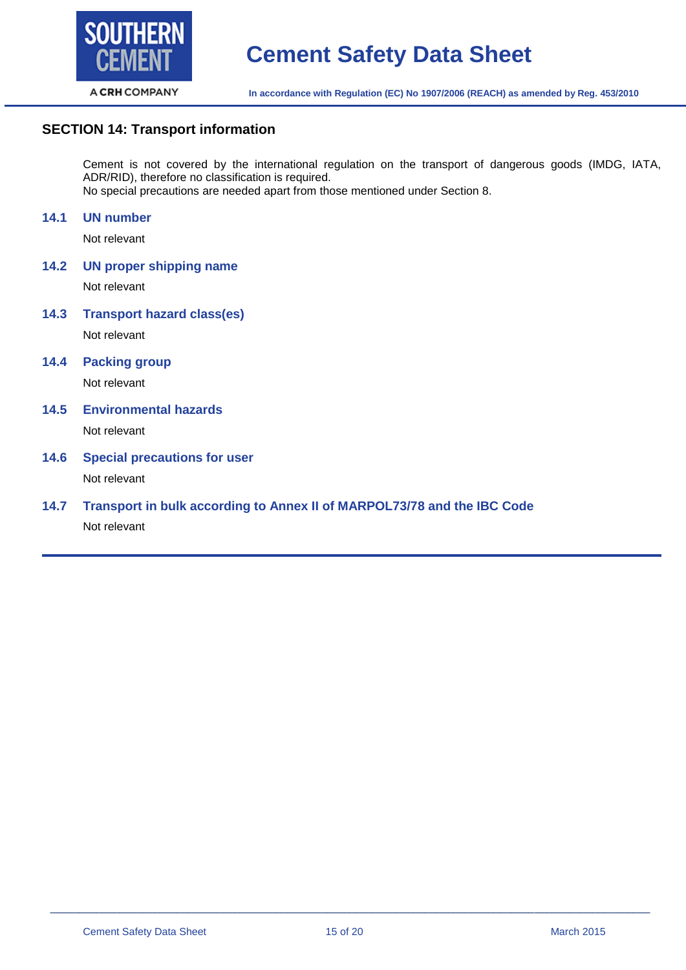

# **SECTION 14: Transport information**

Cement is not covered by the international regulation on the transport of dangerous goods (IMDG, IATA, ADR/RID), therefore no classification is required. No special precautions are needed apart from those mentioned under Section 8.

#### **14.1 UN number**

Not relevant

**14.2 UN proper shipping name**

Not relevant

**14.3 Transport hazard class(es)** Not relevant

**14.4 Packing group**

Not relevant

**14.5 Environmental hazards**

Not relevant

# **14.6 Special precautions for user**

Not relevant

# **14.7 Transport in bulk according to Annex II of MARPOL73/78 and the IBC Code**

Not relevant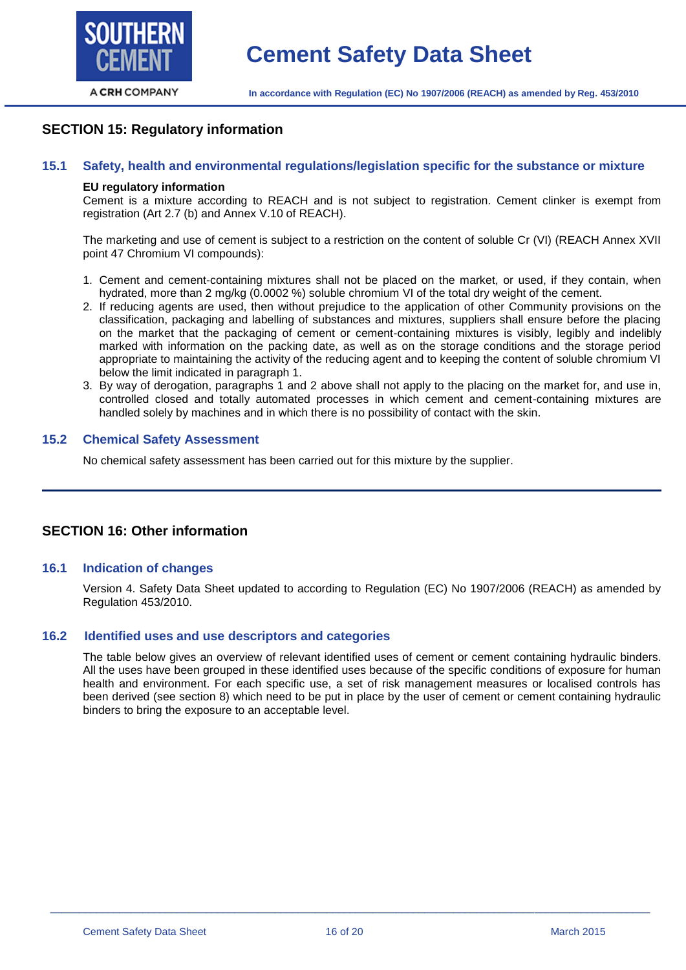

# **SECTION 15: Regulatory information**

#### **15.1 Safety, health and environmental regulations/legislation specific for the substance or mixture**

#### **EU regulatory information**

Cement is a mixture according to REACH and is not subject to registration. Cement clinker is exempt from registration (Art 2.7 (b) and Annex V.10 of REACH).

The marketing and use of cement is subject to a restriction on the content of soluble Cr (VI) (REACH Annex XVII point 47 Chromium VI compounds):

- 1. Cement and cement-containing mixtures shall not be placed on the market, or used, if they contain, when hydrated, more than 2 mg/kg (0.0002 %) soluble chromium VI of the total dry weight of the cement.
- 2. If reducing agents are used, then without prejudice to the application of other Community provisions on the classification, packaging and labelling of substances and mixtures, suppliers shall ensure before the placing on the market that the packaging of cement or cement-containing mixtures is visibly, legibly and indelibly marked with information on the packing date, as well as on the storage conditions and the storage period appropriate to maintaining the activity of the reducing agent and to keeping the content of soluble chromium VI below the limit indicated in paragraph 1.
- 3. By way of derogation, paragraphs 1 and 2 above shall not apply to the placing on the market for, and use in, controlled closed and totally automated processes in which cement and cement-containing mixtures are handled solely by machines and in which there is no possibility of contact with the skin.

#### **15.2 Chemical Safety Assessment**

No chemical safety assessment has been carried out for this mixture by the supplier.

## **SECTION 16: Other information**

#### **16.1 Indication of changes**

Version 4. Safety Data Sheet updated to according to Regulation (EC) No 1907/2006 (REACH) as amended by Regulation 453/2010.

#### **16.2 Identified uses and use descriptors and categories**

The table below gives an overview of relevant identified uses of cement or cement containing hydraulic binders. All the uses have been grouped in these identified uses because of the specific conditions of exposure for human health and environment. For each specific use, a set of risk management measures or localised controls has been derived (see section 8) which need to be put in place by the user of cement or cement containing hydraulic binders to bring the exposure to an acceptable level.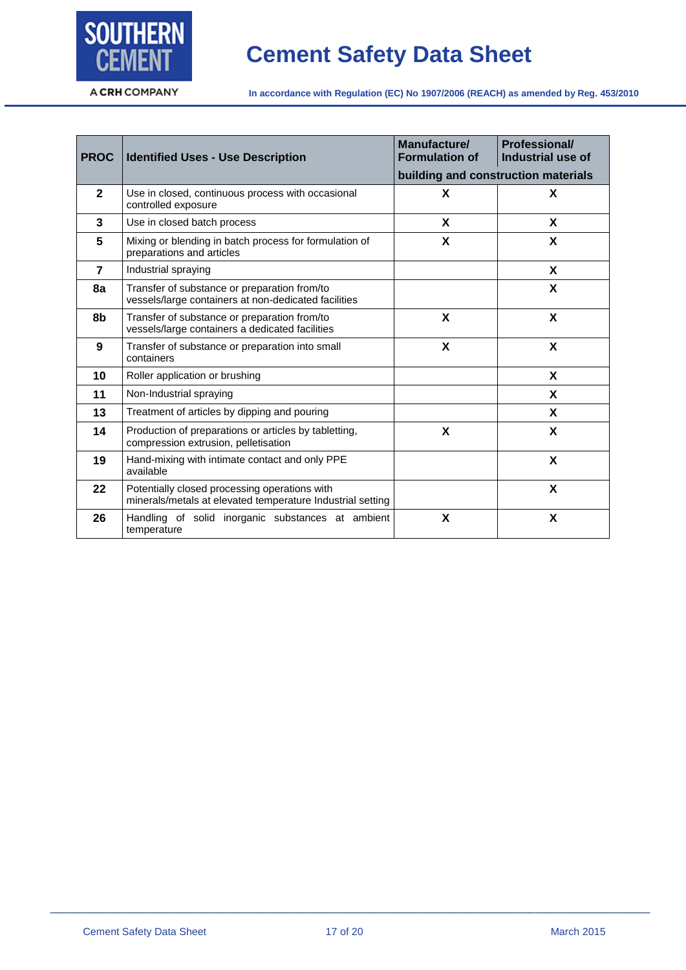

# **Cement Safety Data Sheet**

A CRH COMPANY

**In accordance with Regulation (EC) No 1907/2006 (REACH) as amended by Reg. 453/2010**

| <b>PROC</b>    | <b>Identified Uses - Use Description</b>                                                                    | Manufacture/<br><b>Formulation of</b><br>building and construction materials | <b>Professional/</b><br>Industrial use of |
|----------------|-------------------------------------------------------------------------------------------------------------|------------------------------------------------------------------------------|-------------------------------------------|
| $\overline{2}$ | Use in closed, continuous process with occasional<br>controlled exposure                                    | X                                                                            | X                                         |
| 3              | Use in closed batch process                                                                                 | X                                                                            | X                                         |
| 5              | Mixing or blending in batch process for formulation of<br>preparations and articles                         | X                                                                            | X                                         |
| $\overline{7}$ | Industrial spraying                                                                                         |                                                                              | X                                         |
| 8a             | Transfer of substance or preparation from/to<br>vessels/large containers at non-dedicated facilities        |                                                                              | X                                         |
| 8b             | Transfer of substance or preparation from/to<br>vessels/large containers a dedicated facilities             | X                                                                            | X                                         |
| 9              | Transfer of substance or preparation into small<br>containers                                               | X                                                                            | X                                         |
| 10             | Roller application or brushing                                                                              |                                                                              | X                                         |
| 11             | Non-Industrial spraying                                                                                     |                                                                              | X                                         |
| 13             | Treatment of articles by dipping and pouring                                                                |                                                                              | X                                         |
| 14             | Production of preparations or articles by tabletting,<br>compression extrusion, pelletisation               | X                                                                            | X                                         |
| 19             | Hand-mixing with intimate contact and only PPE<br>available                                                 |                                                                              | X                                         |
| 22             | Potentially closed processing operations with<br>minerals/metals at elevated temperature Industrial setting |                                                                              | X                                         |
| 26             | Handling of solid inorganic substances at ambient<br>temperature                                            | X                                                                            | X                                         |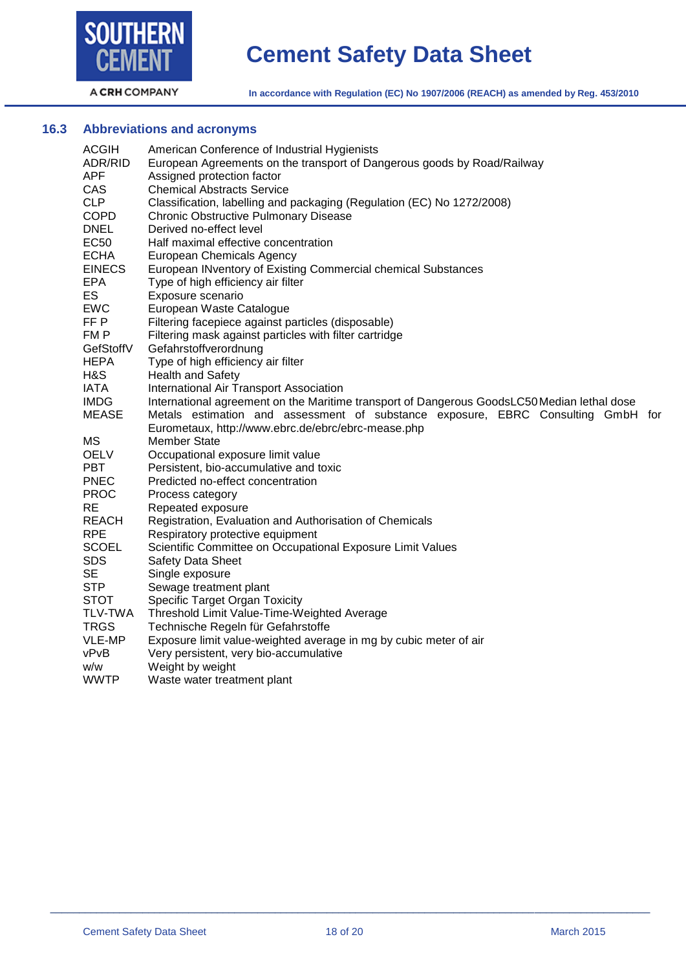

# **Cement Safety Data Sheet**

A CRH COMPANY

**In accordance with Regulation (EC) No 1907/2006 (REACH) as amended by Reg. 453/2010**

# **16.3 Abbreviations and acronyms**

| <b>ACGIH</b>   | American Conference of Industrial Hygienists                                                |
|----------------|---------------------------------------------------------------------------------------------|
| ADR/RID        | European Agreements on the transport of Dangerous goods by Road/Railway                     |
| APF            | Assigned protection factor                                                                  |
| CAS            | <b>Chemical Abstracts Service</b>                                                           |
| <b>CLP</b>     | Classification, labelling and packaging (Regulation (EC) No 1272/2008)                      |
| <b>COPD</b>    | <b>Chronic Obstructive Pulmonary Disease</b>                                                |
| <b>DNEL</b>    | Derived no-effect level                                                                     |
| <b>EC50</b>    | Half maximal effective concentration                                                        |
| <b>ECHA</b>    | <b>European Chemicals Agency</b>                                                            |
| <b>EINECS</b>  | European INventory of Existing Commercial chemical Substances                               |
| <b>EPA</b>     | Type of high efficiency air filter                                                          |
| ES             | Exposure scenario                                                                           |
| <b>EWC</b>     | European Waste Catalogue                                                                    |
| FF P           | Filtering facepiece against particles (disposable)                                          |
| FM P           | Filtering mask against particles with filter cartridge                                      |
| GefStoffV      | Gefahrstoffverordnung                                                                       |
| <b>HEPA</b>    | Type of high efficiency air filter                                                          |
| H&S            | Health and Safety                                                                           |
| <b>IATA</b>    | International Air Transport Association                                                     |
| <b>IMDG</b>    | International agreement on the Maritime transport of Dangerous GoodsLC50 Median lethal dose |
| <b>MEASE</b>   | Metals estimation and assessment of substance exposure, EBRC Consulting GmbH for            |
|                | Eurometaux, http://www.ebrc.de/ebrc/ebrc-mease.php                                          |
| MS             | <b>Member State</b>                                                                         |
| <b>OELV</b>    | Occupational exposure limit value                                                           |
| <b>PBT</b>     | Persistent, bio-accumulative and toxic                                                      |
| <b>PNEC</b>    | Predicted no-effect concentration                                                           |
| <b>PROC</b>    | Process category                                                                            |
| <b>RE</b>      | Repeated exposure                                                                           |
| <b>REACH</b>   | Registration, Evaluation and Authorisation of Chemicals                                     |
| <b>RPE</b>     | Respiratory protective equipment                                                            |
| <b>SCOEL</b>   | Scientific Committee on Occupational Exposure Limit Values                                  |
| <b>SDS</b>     | <b>Safety Data Sheet</b>                                                                    |
| <b>SE</b>      | Single exposure                                                                             |
| <b>STP</b>     | Sewage treatment plant                                                                      |
| <b>STOT</b>    | Specific Target Organ Toxicity                                                              |
| <b>TLV-TWA</b> | Threshold Limit Value-Time-Weighted Average                                                 |
| <b>TRGS</b>    | Technische Regeln für Gefahrstoffe                                                          |
| VLE-MP         | Exposure limit value-weighted average in mg by cubic meter of air                           |
| vPvB           | Very persistent, very bio-accumulative                                                      |
| w/w            | Weight by weight                                                                            |
| <b>WWTP</b>    | Waste water treatment plant                                                                 |
|                |                                                                                             |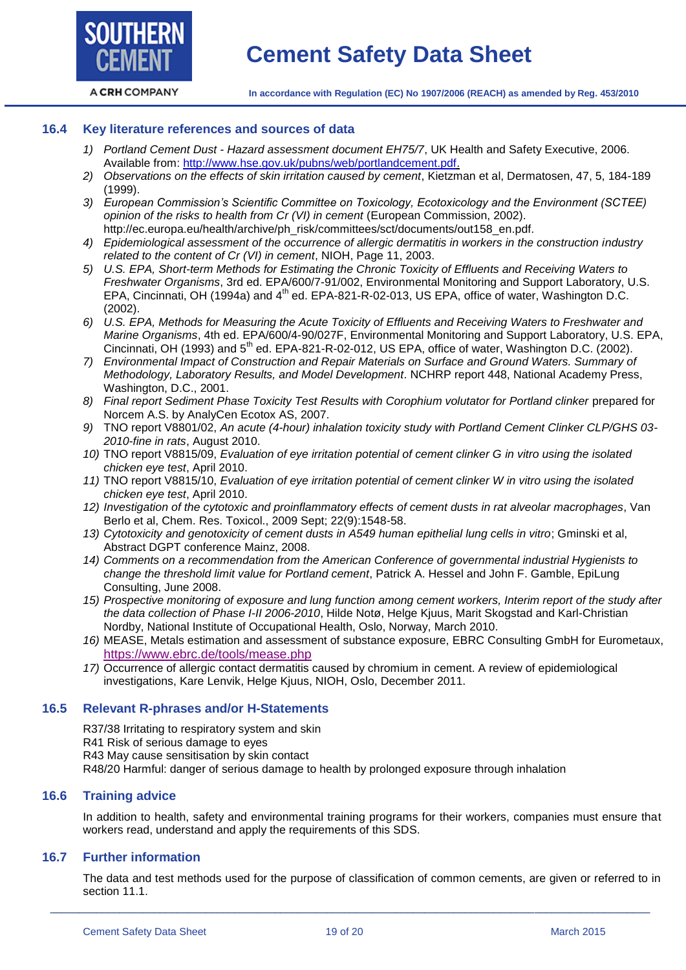**SOUTHERN** 

#### **16.4 Key literature references and sources of data**

- *1) Portland Cement Dust - Hazard assessment document EH75/7*, UK Health and Safety Executive, 2006. Available from: [http://www.hse.gov.uk/pubns/web/portlandcement.pdf.](http://www.hse.gov.uk/pubns/web/portlandcement.pdf)
- *2) Observations on the effects of skin irritation caused by cement*, Kietzman et al, Dermatosen, 47, 5, 184-189 (1999).
- *3) European Commission's Scientific Committee on Toxicology, Ecotoxicology and the Environment (SCTEE) opinion of the risks to health from Cr (VI) in cement* (European Commission, 2002). http://ec.europa.eu/health/archive/ph\_risk/committees/sct/documents/out158\_en.pdf.
- *4) Epidemiological assessment of the occurrence of allergic dermatitis in workers in the construction industry related to the content of Cr (VI) in cement*, NIOH, Page 11, 2003.
- *5) U.S. EPA, Short-term Methods for Estimating the Chronic Toxicity of Effluents and Receiving Waters to Freshwater Organisms*, 3rd ed. EPA/600/7-91/002, Environmental Monitoring and Support Laboratory, U.S. EPA, Cincinnati, OH (1994a) and 4<sup>th</sup> ed. EPA-821-R-02-013, US EPA, office of water, Washington D.C. (2002).
- *6) U.S. EPA, Methods for Measuring the Acute Toxicity of Effluents and Receiving Waters to Freshwater and Marine Organisms*, 4th ed. EPA/600/4-90/027F, Environmental Monitoring and Support Laboratory, U.S. EPA, Cincinnati, OH (1993) and 5<sup>th</sup> ed. EPA-821-R-02-012, US EPA, office of water, Washington D.C. (2002).
- *7) Environmental Impact of Construction and Repair Materials on Surface and Ground Waters. Summary of Methodology, Laboratory Results, and Model Development*. NCHRP report 448, National Academy Press, Washington, D.C., 2001.
- *8) Final report Sediment Phase Toxicity Test Results with Corophium volutator for Portland clinker* prepared for Norcem A.S. by AnalyCen Ecotox AS, 2007.
- *9)* TNO report V8801/02, *An acute (4-hour) inhalation toxicity study with Portland Cement Clinker CLP/GHS 03- 2010-fine in rats*, August 2010.
- *10)* TNO report V8815/09, *Evaluation of eye irritation potential of cement clinker G in vitro using the isolated chicken eye test*, April 2010.
- *11)* TNO report V8815/10, *Evaluation of eye irritation potential of cement clinker W in vitro using the isolated chicken eye test*, April 2010.
- *12) Investigation of the cytotoxic and proinflammatory effects of cement dusts in rat alveolar macrophages*, Van Berlo et al, Chem. Res. Toxicol., 2009 Sept; 22(9):1548-58.
- *13) Cytotoxicity and genotoxicity of cement dusts in A549 human epithelial lung cells in vitro*; Gminski et al, Abstract DGPT conference Mainz, 2008.
- *14) Comments on a recommendation from the American Conference of governmental industrial Hygienists to change the threshold limit value for Portland cement*, Patrick A. Hessel and John F. Gamble, EpiLung Consulting, June 2008.
- *15) Prospective monitoring of exposure and lung function among cement workers, Interim report of the study after the data collection of Phase I-II 2006-2010*, Hilde Notø, Helge Kjuus, Marit Skogstad and Karl-Christian Nordby, National Institute of Occupational Health, Oslo, Norway, March 2010.
- *16)* MEASE, Metals estimation and assessment of substance exposure, EBRC Consulting GmbH for Eurometaux, <https://www.ebrc.de/tools/mease.php>
- *17)* Occurrence of allergic contact dermatitis caused by chromium in cement. A review of epidemiological investigations, Kare Lenvik, Helge Kjuus, NIOH, Oslo, December 2011.

#### **16.5 Relevant R-phrases and/or H-Statements**

R37/38 Irritating to respiratory system and skin

- R41 Risk of serious damage to eyes
- R43 May cause sensitisation by skin contact

R48/20 Harmful: danger of serious damage to health by prolonged exposure through inhalation

# **16.6 Training advice**

In addition to health, safety and environmental training programs for their workers, companies must ensure that workers read, understand and apply the requirements of this SDS.

# **16.7 Further information**

The data and test methods used for the purpose of classification of common cements, are given or referred to in section 11.1.